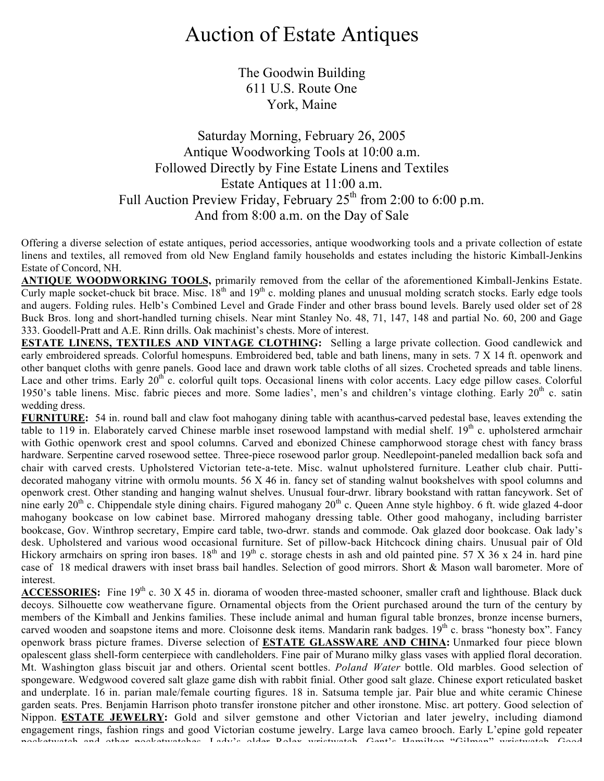## Auction of Estate Antiques

The Goodwin Building 611 U.S. Route One York, Maine

## Saturday Morning, February 26, 2005 Antique Woodworking Tools at 10:00 a.m. Followed Directly by Fine Estate Linens and Textiles Estate Antiques at 11:00 a.m. Full Auction Preview Friday, February  $25<sup>th</sup>$  from 2:00 to 6:00 p.m. And from 8:00 a.m. on the Day of Sale

Offering a diverse selection of estate antiques, period accessories, antique woodworking tools and a private collection of estate linens and textiles, all removed from old New England family households and estates including the historic Kimball-Jenkins Estate of Concord, NH.

**ANTIQUE WOODWORKING TOOLS,** primarily removed from the cellar of the aforementioned Kimball-Jenkins Estate. Curly maple socket-chuck bit brace. Misc.  $18^{th}$  and  $19^{th}$  c. molding planes and unusual molding scratch stocks. Early edge tools and augers. Folding rules. Helb's Combined Level and Grade Finder and other brass bound levels. Barely used older set of 28 Buck Bros. long and short-handled turning chisels. Near mint Stanley No. 48, 71, 147, 148 and partial No. 60, 200 and Gage 333. Goodell-Pratt and A.E. Rinn drills. Oak machinist's chests. More of interest.

**ESTATE LINENS, TEXTILES AND VINTAGE CLOTHING:** Selling a large private collection. Good candlewick and early embroidered spreads. Colorful homespuns. Embroidered bed, table and bath linens, many in sets. 7 X 14 ft. openwork and other banquet cloths with genre panels. Good lace and drawn work table cloths of all sizes. Crocheted spreads and table linens. Lace and other trims. Early  $20^{th}$  c. colorful quilt tops. Occasional linens with color accents. Lacy edge pillow cases. Colorful 1950's table linens. Misc. fabric pieces and more. Some ladies', men's and children's vintage clothing. Early 20<sup>th</sup> c. satin wedding dress.

**FURNITURE:** 54 in. round ball and claw foot mahogany dining table with acanthus**-**carved pedestal base, leaves extending the table to 119 in. Elaborately carved Chinese marble inset rosewood lampstand with medial shelf. 19<sup>th</sup> c. upholstered armchair with Gothic openwork crest and spool columns. Carved and ebonized Chinese camphorwood storage chest with fancy brass hardware. Serpentine carved rosewood settee. Three-piece rosewood parlor group. Needlepoint-paneled medallion back sofa and chair with carved crests. Upholstered Victorian tete-a-tete. Misc. walnut upholstered furniture. Leather club chair. Puttidecorated mahogany vitrine with ormolu mounts. 56 X 46 in. fancy set of standing walnut bookshelves with spool columns and openwork crest. Other standing and hanging walnut shelves. Unusual four-drwr. library bookstand with rattan fancywork. Set of nine early  $20^{th}$  c. Chippendale style dining chairs. Figured mahogany  $20^{th}$  c. Queen Anne style highboy. 6 ft. wide glazed 4-door mahogany bookcase on low cabinet base. Mirrored mahogany dressing table. Other good mahogany, including barrister bookcase, Gov. Winthrop secretary, Empire card table, two-drwr. stands and commode. Oak glazed door bookcase. Oak lady's desk. Upholstered and various wood occasional furniture. Set of pillow-back Hitchcock dining chairs. Unusual pair of Old Hickory armchairs on spring iron bases.  $18<sup>th</sup>$  and  $19<sup>th</sup>$  c. storage chests in ash and old painted pine. 57 X 36 x 24 in. hard pine case of 18 medical drawers with inset brass bail handles. Selection of good mirrors. Short & Mason wall barometer. More of interest.

ACCESSORIES: Fine 19<sup>th</sup> c. 30 X 45 in. diorama of wooden three-masted schooner, smaller craft and lighthouse. Black duck decoys. Silhouette cow weathervane figure. Ornamental objects from the Orient purchased around the turn of the century by members of the Kimball and Jenkins families. These include animal and human figural table bronzes, bronze incense burners, carved wooden and soapstone items and more. Cloisonne desk items. Mandarin rank badges. 19<sup>th</sup> c. brass "honesty box". Fancy openwork brass picture frames. Diverse selection of **ESTATE GLASSWARE AND CHINA:** Unmarked four piece blown opalescent glass shell-form centerpiece with candleholders. Fine pair of Murano milky glass vases with applied floral decoration. Mt. Washington glass biscuit jar and others. Oriental scent bottles. *Poland Water* bottle. Old marbles. Good selection of spongeware. Wedgwood covered salt glaze game dish with rabbit finial. Other good salt glaze. Chinese export reticulated basket and underplate. 16 in. parian male/female courting figures. 18 in. Satsuma temple jar. Pair blue and white ceramic Chinese garden seats. Pres. Benjamin Harrison photo transfer ironstone pitcher and other ironstone. Misc. art pottery. Good selection of Nippon. **ESTATE JEWELRY:** Gold and silver gemstone and other Victorian and later jewelry, including diamond engagement rings, fashion rings and good Victorian costume jewelry. Large lava cameo brooch. Early L'epine gold repeater pocketwatch and other pocketwatches. Lady's older Rolex wristwatch. Gent's Hamilton "Gilman" wristwatch. Good